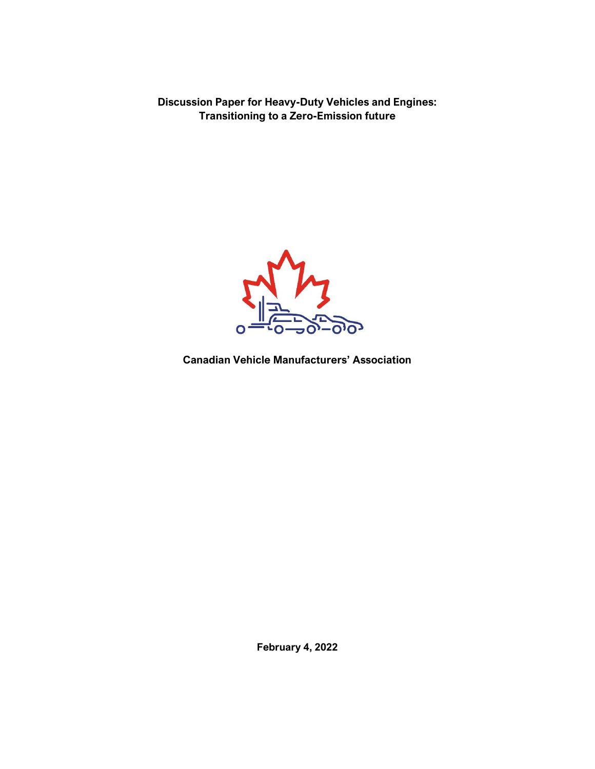**Discussion Paper for Heavy-Duty Vehicles and Engines: Transitioning to a Zero-Emission future**



**Canadian Vehicle Manufacturers' Association**

**February 4, 2022**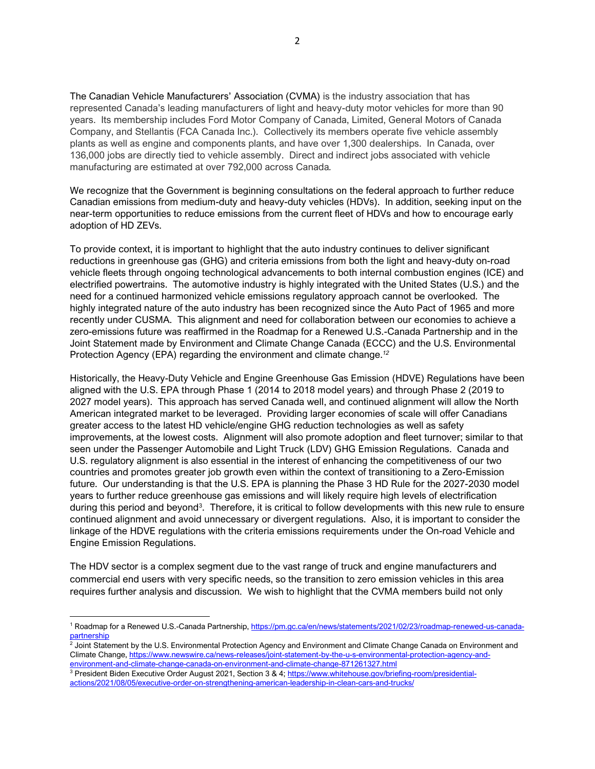The Canadian Vehicle Manufacturers' Association (CVMA) is the industry association that has represented Canada's leading manufacturers of light and heavy-duty motor vehicles for more than 90 years. Its membership includes Ford Motor Company of Canada, Limited, General Motors of Canada Company, and Stellantis (FCA Canada Inc.). Collectively its members operate five vehicle assembly plants as well as engine and components plants, and have over 1,300 dealerships. In Canada, over 136,000 jobs are directly tied to vehicle assembly. Direct and indirect jobs associated with vehicle manufacturing are estimated at over 792,000 across Canada*.*

We recognize that the Government is beginning consultations on the federal approach to further reduce Canadian emissions from medium-duty and heavy-duty vehicles (HDVs). In addition, seeking input on the near-term opportunities to reduce emissions from the current fleet of HDVs and how to encourage early adoption of HD ZEVs.

To provide context, it is important to highlight that the auto industry continues to deliver significant reductions in greenhouse gas (GHG) and criteria emissions from both the light and heavy-duty on-road vehicle fleets through ongoing technological advancements to both internal combustion engines (ICE) and electrified powertrains. The automotive industry is highly integrated with the United States (U.S.) and the need for a continued harmonized vehicle emissions regulatory approach cannot be overlooked. The highly integrated nature of the auto industry has been recognized since the Auto Pact of 1965 and more recently under CUSMA. This alignment and need for collaboration between our economies to achieve a zero-emissions future was reaffirmed in the Roadmap for a Renewed U.S.-Canada Partnership and in the Joint Statement made by Environment and Climate Change Canada (ECCC) and the U.S. Environmental Protection Agency (EPA) regarding the environment and climate change. *12*

Historically, the Heavy-Duty Vehicle and Engine Greenhouse Gas Emission (HDVE) Regulations have been aligned with the U.S. EPA through Phase 1 (2014 to 2018 model years) and through Phase 2 (2019 to 2027 model years). This approach has served Canada well, and continued alignment will allow the North American integrated market to be leveraged. Providing larger economies of scale will offer Canadians greater access to the latest HD vehicle/engine GHG reduction technologies as well as safety improvements, at the lowest costs. Alignment will also promote adoption and fleet turnover; similar to that seen under the Passenger Automobile and Light Truck (LDV) GHG Emission Regulations. Canada and U.S. regulatory alignment is also essential in the interest of enhancing the competitiveness of our two countries and promotes greater job growth even within the context of transitioning to a Zero-Emission future. Our understanding is that the U.S. EPA is planning the Phase 3 HD Rule for the 2027-2030 model years to further reduce greenhouse gas emissions and will likely require high levels of electrification during this period and beyond<sup>3</sup>. Therefore, it is critical to follow developments with this new rule to ensure continued alignment and avoid unnecessary or divergent regulations. Also, it is important to consider the linkage of the HDVE regulations with the criteria emissions requirements under the On-road Vehicle and Engine Emission Regulations.

The HDV sector is a complex segment due to the vast range of truck and engine manufacturers and commercial end users with very specific needs, so the transition to zero emission vehicles in this area requires further analysis and discussion. We wish to highlight that the CVMA members build not only

<sup>1</sup> Roadmap for a Renewed U.S.-Canada Partnership[, https://pm.gc.ca/en/news/statements/2021/02/23/roadmap-renewed-us-canada](https://pm.gc.ca/en/news/statements/2021/02/23/roadmap-renewed-us-canada-partnership)<mark>[partnership](https://pm.gc.ca/en/news/statements/2021/02/23/roadmap-renewed-us-canada-partnership)</mark><br><sup>2</sup> Joint Statement by the U.S. Environmental Protection Agency and Environment and Climate Change Canada on Environment and

Climate Change, [https://www.newswire.ca/news-releases/joint-statement-by-the-u-s-environmental-protection-agency-and](https://www.newswire.ca/news-releases/joint-statement-by-the-u-s-environmental-protection-agency-and-environment-and-climate-change-canada-on-environment-and-climate-change-871261327.html)[environment-and-climate-change-canada-on-environment-and-climate-change-871261327.html](https://www.newswire.ca/news-releases/joint-statement-by-the-u-s-environmental-protection-agency-and-environment-and-climate-change-canada-on-environment-and-climate-change-871261327.html)

<sup>3</sup> President Biden Executive Order August 2021, Section 3 & 4; [https://www.whitehouse.gov/briefing-room/presidential](https://www.whitehouse.gov/briefing-room/presidential-actions/2021/08/05/executive-order-on-strengthening-american-leadership-in-clean-cars-and-trucks/)[actions/2021/08/05/executive-order-on-strengthening-american-leadership-in-clean-cars-and-trucks/](https://www.whitehouse.gov/briefing-room/presidential-actions/2021/08/05/executive-order-on-strengthening-american-leadership-in-clean-cars-and-trucks/)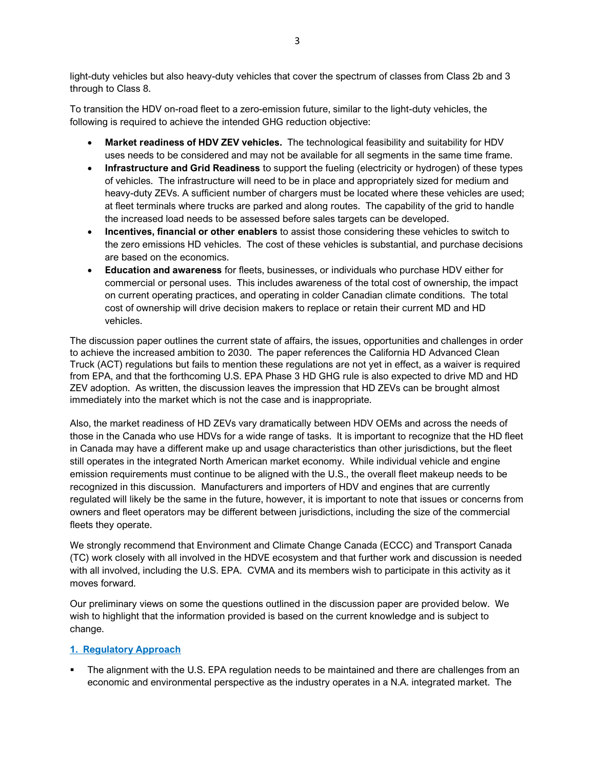light-duty vehicles but also heavy-duty vehicles that cover the spectrum of classes from Class 2b and 3 through to Class 8.

To transition the HDV on-road fleet to a zero-emission future, similar to the light-duty vehicles, the following is required to achieve the intended GHG reduction objective:

- **Market readiness of HDV ZEV vehicles.** The technological feasibility and suitability for HDV uses needs to be considered and may not be available for all segments in the same time frame.
- **Infrastructure and Grid Readiness** to support the fueling (electricity or hydrogen) of these types of vehicles. The infrastructure will need to be in place and appropriately sized for medium and heavy-duty ZEVs. A sufficient number of chargers must be located where these vehicles are used; at fleet terminals where trucks are parked and along routes. The capability of the grid to handle the increased load needs to be assessed before sales targets can be developed.
- **Incentives, financial or other enablers** to assist those considering these vehicles to switch to the zero emissions HD vehicles. The cost of these vehicles is substantial, and purchase decisions are based on the economics.
- **Education and awareness** for fleets, businesses, or individuals who purchase HDV either for commercial or personal uses. This includes awareness of the total cost of ownership, the impact on current operating practices, and operating in colder Canadian climate conditions. The total cost of ownership will drive decision makers to replace or retain their current MD and HD vehicles.

The discussion paper outlines the current state of affairs, the issues, opportunities and challenges in order to achieve the increased ambition to 2030. The paper references the California HD Advanced Clean Truck (ACT) regulations but fails to mention these regulations are not yet in effect, as a waiver is required from EPA, and that the forthcoming U.S. EPA Phase 3 HD GHG rule is also expected to drive MD and HD ZEV adoption. As written, the discussion leaves the impression that HD ZEVs can be brought almost immediately into the market which is not the case and is inappropriate.

Also, the market readiness of HD ZEVs vary dramatically between HDV OEMs and across the needs of those in the Canada who use HDVs for a wide range of tasks. It is important to recognize that the HD fleet in Canada may have a different make up and usage characteristics than other jurisdictions, but the fleet still operates in the integrated North American market economy. While individual vehicle and engine emission requirements must continue to be aligned with the U.S., the overall fleet makeup needs to be recognized in this discussion. Manufacturers and importers of HDV and engines that are currently regulated will likely be the same in the future, however, it is important to note that issues or concerns from owners and fleet operators may be different between jurisdictions, including the size of the commercial fleets they operate.

We strongly recommend that Environment and Climate Change Canada (ECCC) and Transport Canada (TC) work closely with all involved in the HDVE ecosystem and that further work and discussion is needed with all involved, including the U.S. EPA. CVMA and its members wish to participate in this activity as it moves forward.

Our preliminary views on some the questions outlined in the discussion paper are provided below. We wish to highlight that the information provided is based on the current knowledge and is subject to change.

## **1. Regulatory Approach**

The alignment with the U.S. EPA regulation needs to be maintained and there are challenges from an economic and environmental perspective as the industry operates in a N.A. integrated market. The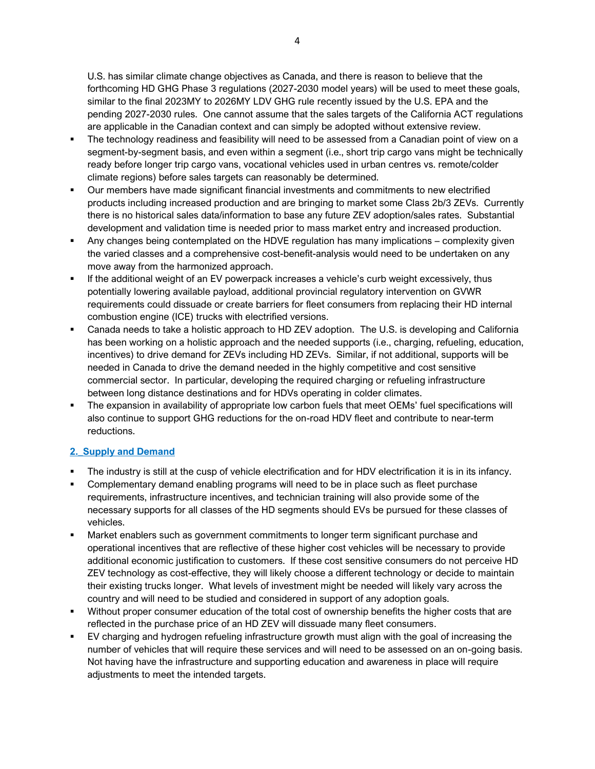U.S. has similar climate change objectives as Canada, and there is reason to believe that the forthcoming HD GHG Phase 3 regulations (2027-2030 model years) will be used to meet these goals, similar to the final 2023MY to 2026MY LDV GHG rule recently issued by the U.S. EPA and the pending 2027-2030 rules. One cannot assume that the sales targets of the California ACT regulations are applicable in the Canadian context and can simply be adopted without extensive review.

- The technology readiness and feasibility will need to be assessed from a Canadian point of view on a segment-by-segment basis, and even within a segment (i.e., short trip cargo vans might be technically ready before longer trip cargo vans, vocational vehicles used in urban centres vs. remote/colder climate regions) before sales targets can reasonably be determined.
- Our members have made significant financial investments and commitments to new electrified products including increased production and are bringing to market some Class 2b/3 ZEVs. Currently there is no historical sales data/information to base any future ZEV adoption/sales rates. Substantial development and validation time is needed prior to mass market entry and increased production.
- Any changes being contemplated on the HDVE regulation has many implications complexity given the varied classes and a comprehensive cost-benefit-analysis would need to be undertaken on any move away from the harmonized approach.
- **•** If the additional weight of an EV powerpack increases a vehicle's curb weight excessively, thus potentially lowering available payload, additional provincial regulatory intervention on GVWR requirements could dissuade or create barriers for fleet consumers from replacing their HD internal combustion engine (ICE) trucks with electrified versions.
- Canada needs to take a holistic approach to HD ZEV adoption. The U.S. is developing and California has been working on a holistic approach and the needed supports (i.e., charging, refueling, education, incentives) to drive demand for ZEVs including HD ZEVs. Similar, if not additional, supports will be needed in Canada to drive the demand needed in the highly competitive and cost sensitive commercial sector. In particular, developing the required charging or refueling infrastructure between long distance destinations and for HDVs operating in colder climates.
- The expansion in availability of appropriate low carbon fuels that meet OEMs' fuel specifications will also continue to support GHG reductions for the on-road HDV fleet and contribute to near-term reductions.

# **2.\_Supply and Demand**

- The industry is still at the cusp of vehicle electrification and for HDV electrification it is in its infancy.
- Complementary demand enabling programs will need to be in place such as fleet purchase requirements, infrastructure incentives, and technician training will also provide some of the necessary supports for all classes of the HD segments should EVs be pursued for these classes of vehicles.
- Market enablers such as government commitments to longer term significant purchase and operational incentives that are reflective of these higher cost vehicles will be necessary to provide additional economic justification to customers. If these cost sensitive consumers do not perceive HD ZEV technology as cost-effective, they will likely choose a different technology or decide to maintain their existing trucks longer. What levels of investment might be needed will likely vary across the country and will need to be studied and considered in support of any adoption goals.
- Without proper consumer education of the total cost of ownership benefits the higher costs that are reflected in the purchase price of an HD ZEV will dissuade many fleet consumers.
- EV charging and hydrogen refueling infrastructure growth must align with the goal of increasing the number of vehicles that will require these services and will need to be assessed on an on-going basis. Not having have the infrastructure and supporting education and awareness in place will require adjustments to meet the intended targets.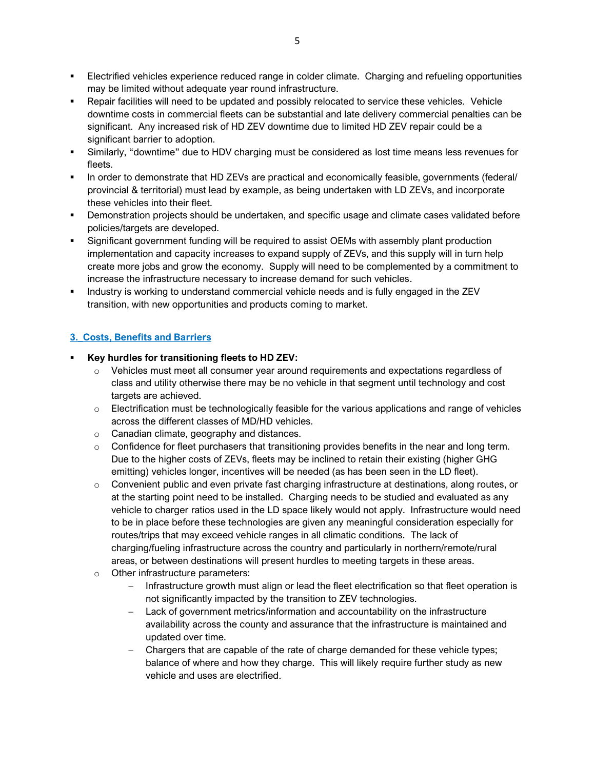- **Electrified vehicles experience reduced range in colder climate. Charging and refueling opportunities** may be limited without adequate year round infrastructure.
- Repair facilities will need to be updated and possibly relocated to service these vehicles. Vehicle downtime costs in commercial fleets can be substantial and late delivery commercial penalties can be significant. Any increased risk of HD ZEV downtime due to limited HD ZEV repair could be a significant barrier to adoption.
- Similarly, "downtime" due to HDV charging must be considered as lost time means less revenues for fleets.
- In order to demonstrate that HD ZEVs are practical and economically feasible, governments (federal/ provincial & territorial) must lead by example, as being undertaken with LD ZEVs, and incorporate these vehicles into their fleet.
- Demonstration projects should be undertaken, and specific usage and climate cases validated before policies/targets are developed.
- Significant government funding will be required to assist OEMs with assembly plant production implementation and capacity increases to expand supply of ZEVs, and this supply will in turn help create more jobs and grow the economy. Supply will need to be complemented by a commitment to increase the infrastructure necessary to increase demand for such vehicles.
- Industry is working to understand commercial vehicle needs and is fully engaged in the ZEV transition, with new opportunities and products coming to market.

# **3.\_Costs, Benefits and Barriers**

- **Key hurdles for transitioning fleets to HD ZEV:**
	- $\circ$  Vehicles must meet all consumer year around requirements and expectations regardless of class and utility otherwise there may be no vehicle in that segment until technology and cost targets are achieved.
	- $\circ$  Electrification must be technologically feasible for the various applications and range of vehicles across the different classes of MD/HD vehicles.
	- o Canadian climate, geography and distances.
	- $\circ$  Confidence for fleet purchasers that transitioning provides benefits in the near and long term. Due to the higher costs of ZEVs, fleets may be inclined to retain their existing (higher GHG emitting) vehicles longer, incentives will be needed (as has been seen in the LD fleet).
	- $\circ$  Convenient public and even private fast charging infrastructure at destinations, along routes, or at the starting point need to be installed. Charging needs to be studied and evaluated as any vehicle to charger ratios used in the LD space likely would not apply. Infrastructure would need to be in place before these technologies are given any meaningful consideration especially for routes/trips that may exceed vehicle ranges in all climatic conditions. The lack of charging/fueling infrastructure across the country and particularly in northern/remote/rural areas, or between destinations will present hurdles to meeting targets in these areas.
	- Other infrastructure parameters:
		- − Infrastructure growth must align or lead the fleet electrification so that fleet operation is not significantly impacted by the transition to ZEV technologies.
		- − Lack of government metrics/information and accountability on the infrastructure availability across the county and assurance that the infrastructure is maintained and updated over time.
		- − Chargers that are capable of the rate of charge demanded for these vehicle types; balance of where and how they charge. This will likely require further study as new vehicle and uses are electrified.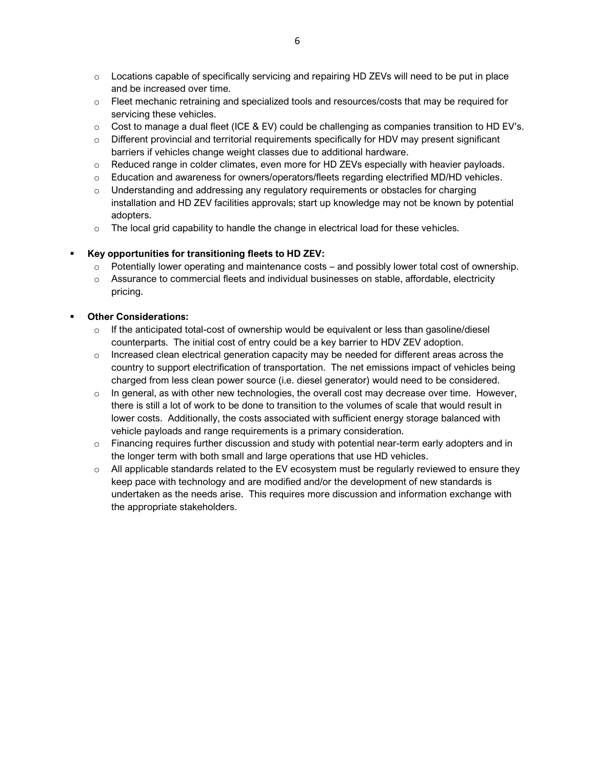- $\circ$  Locations capable of specifically servicing and repairing HD ZEVs will need to be put in place and be increased over time.
- o Fleet mechanic retraining and specialized tools and resources/costs that may be required for servicing these vehicles.
- o Cost to manage a dual fleet (ICE & EV) could be challenging as companies transition to HD EV's.
- o Different provincial and territorial requirements specifically for HDV may present significant barriers if vehicles change weight classes due to additional hardware.
- o Reduced range in colder climates, even more for HD ZEVs especially with heavier payloads.
- o Education and awareness for owners/operators/fleets regarding electrified MD/HD vehicles.
- $\circ$  Understanding and addressing any regulatory requirements or obstacles for charging installation and HD ZEV facilities approvals; start up knowledge may not be known by potential adopters.
- $\circ$  The local grid capability to handle the change in electrical load for these vehicles.

### ▪ **Key opportunities for transitioning fleets to HD ZEV:**

- $\circ$  Potentially lower operating and maintenance costs and possibly lower total cost of ownership.
- $\circ$  Assurance to commercial fleets and individual businesses on stable, affordable, electricity pricing.

# **Other Considerations:**

- $\circ$  If the anticipated total-cost of ownership would be equivalent or less than gasoline/diesel counterparts. The initial cost of entry could be a key barrier to HDV ZEV adoption.
- $\circ$  Increased clean electrical generation capacity may be needed for different areas across the country to support electrification of transportation. The net emissions impact of vehicles being charged from less clean power source (i.e. diesel generator) would need to be considered.
- $\circ$  In general, as with other new technologies, the overall cost may decrease over time. However, there is still a lot of work to be done to transition to the volumes of scale that would result in lower costs. Additionally, the costs associated with sufficient energy storage balanced with vehicle payloads and range requirements is a primary consideration.
- o Financing requires further discussion and study with potential near-term early adopters and in the longer term with both small and large operations that use HD vehicles.
- $\circ$  All applicable standards related to the EV ecosystem must be regularly reviewed to ensure they keep pace with technology and are modified and/or the development of new standards is undertaken as the needs arise. This requires more discussion and information exchange with the appropriate stakeholders.